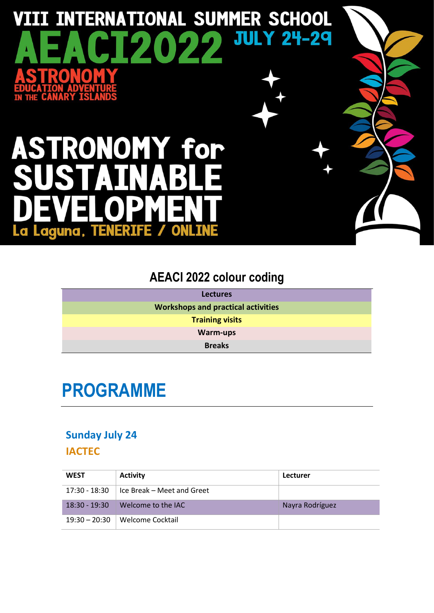# VIII INTERNATIONAL SUMMER SCHOOL **JULY 24-29** Œ  $\overline{\mathbf{Z}}$

# **ASTRONOMY for**  $\blacktriangle$ La Laguna, TENERIFE O

### **AEACI 2022 colour coding**

| <b>Lectures</b>                           |
|-------------------------------------------|
| <b>Workshops and practical activities</b> |
| <b>Training visits</b>                    |
| <b>Warm-ups</b>                           |
| <b>Breaks</b>                             |

# **PROGRAMME**

#### **Sunday July 24**

#### **IACTEC**

| <b>WEST</b>     | <b>Activity</b>              | Lecturer        |
|-----------------|------------------------------|-----------------|
| 17:30 - 18:30   | l Ice Break – Meet and Greet |                 |
| 18:30 - 19:30   | Welcome to the IAC           | Nayra Rodríguez |
| $19:30 - 20:30$ | Welcome Cocktail             |                 |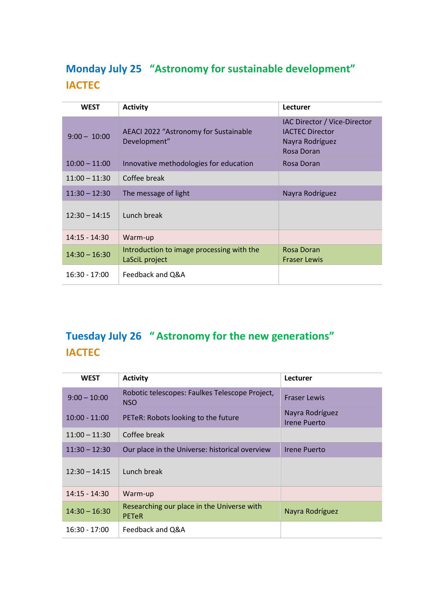#### **Monday July 25 "Astronomy for sustainable development" IACTEC**

| <b>WEST</b>     | <b>Activity</b>                                             | Lecturer                                                                                |
|-----------------|-------------------------------------------------------------|-----------------------------------------------------------------------------------------|
| $9:00 - 10:00$  | AEACI 2022 "Astronomy for Sustainable<br>Development"       | IAC Director / Vice-Director<br><b>IACTEC Director</b><br>Nayra Rodríguez<br>Rosa Doran |
| $10:00 - 11:00$ | Innovative methodologies for education                      | Rosa Doran                                                                              |
| $11:00 - 11:30$ | Coffee break                                                |                                                                                         |
| $11:30 - 12:30$ | The message of light                                        | Nayra Rodríguez                                                                         |
| $12:30 - 14:15$ | Lunch break                                                 |                                                                                         |
| $14:15 - 14:30$ | Warm-up                                                     |                                                                                         |
| $14:30 - 16:30$ | Introduction to image processing with the<br>LaSciL project | Rosa Doran<br><b>Fraser Lewis</b>                                                       |
| $16:30 - 17:00$ | Feedback and Q&A                                            |                                                                                         |

### **Tuesday July 26 " Astronomy for the new generations" IACTEC**

| <b>WEST</b>     | <b>Activity</b>                                              | Lecturer                               |
|-----------------|--------------------------------------------------------------|----------------------------------------|
| $9:00 - 10:00$  | Robotic telescopes: Faulkes Telescope Project,<br><b>NSO</b> | <b>Fraser Lewis</b>                    |
| $10:00 - 11:00$ | PETeR: Robots looking to the future                          | Nayra Rodríguez<br><b>Irene Puerto</b> |
| $11:00 - 11:30$ | Coffee break                                                 |                                        |
| $11:30 - 12:30$ | Our place in the Universe: historical overview               | Irene Puerto                           |
| $12:30 - 14:15$ | Lunch break                                                  |                                        |
| $14:15 - 14:30$ | Warm-up                                                      |                                        |
| $14:30 - 16:30$ | Researching our place in the Universe with<br><b>PETeR</b>   | Nayra Rodríguez                        |
| $16:30 - 17:00$ | Feedback and Q&A                                             |                                        |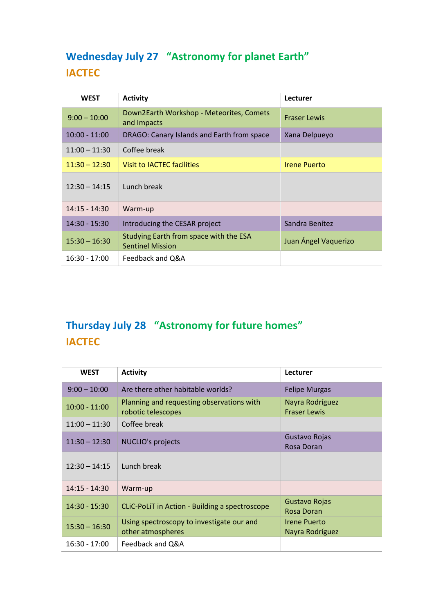#### **Wednesday July 27 "Astronomy for planet Earth" IACTEC**

| <b>WEST</b>     | <b>Activity</b>                                                   | Lecturer             |
|-----------------|-------------------------------------------------------------------|----------------------|
| $9:00 - 10:00$  | Down2Earth Workshop - Meteorites, Comets<br>and Impacts           | <b>Fraser Lewis</b>  |
| $10:00 - 11:00$ | DRAGO: Canary Islands and Earth from space                        | Xana Delpueyo        |
| $11:00 - 11:30$ | Coffee break                                                      |                      |
| $11:30 - 12:30$ | <b>Visit to IACTEC facilities</b>                                 | <b>Irene Puerto</b>  |
| $12:30 - 14:15$ | Lunch break                                                       |                      |
| $14:15 - 14:30$ | Warm-up                                                           |                      |
| $14:30 - 15:30$ | Introducing the CESAR project                                     | Sandra Benítez       |
| $15:30 - 16:30$ | Studying Earth from space with the ESA<br><b>Sentinel Mission</b> | Juan Ángel Vaquerizo |
| $16:30 - 17:00$ | Feedback and Q&A                                                  |                      |

### **Thursday July 28 "Astronomy for future homes" IACTEC**

| <b>WEST</b>     | <b>Activity</b>                                                 | Lecturer                               |
|-----------------|-----------------------------------------------------------------|----------------------------------------|
| $9:00 - 10:00$  | Are there other habitable worlds?                               | <b>Felipe Murgas</b>                   |
| $10:00 - 11:00$ | Planning and requesting observations with<br>robotic telescopes | Nayra Rodríguez<br><b>Fraser Lewis</b> |
| $11:00 - 11:30$ | Coffee break                                                    |                                        |
| $11:30 - 12:30$ | <b>NUCLIO's projects</b>                                        | Gustavo Rojas<br>Rosa Doran            |
| $12:30 - 14:15$ | Lunch break                                                     |                                        |
| $14:15 - 14:30$ | Warm-up                                                         |                                        |
| $14:30 - 15:30$ | CLIC-PoLIT in Action - Building a spectroscope                  | Gustavo Rojas<br>Rosa Doran            |
| $15:30 - 16:30$ | Using spectroscopy to investigate our and<br>other atmospheres  | <b>Irene Puerto</b><br>Nayra Rodríguez |
| $16:30 - 17:00$ | Feedback and Q&A                                                |                                        |